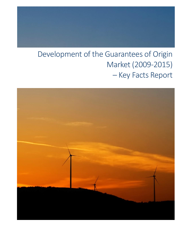# Development of the Guarantees of Origin Market (2009-2015) – Key Facts Report

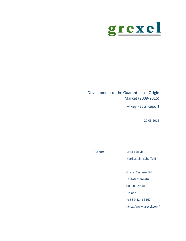

Development of the Guarantees of Origin Market (2009-2015)

– Key Facts Report

27.05.2016

Authors: Leticia David

Markus Klimscheffskij

Grexel Systems Ltd.

Lautatarhankatu 6

00580 Helsinki

Finland

+358 9 4241 3167

http://www.grexel.com/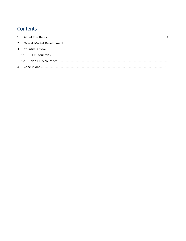# Contents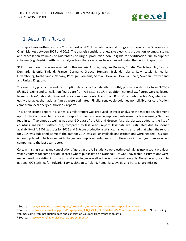

## <span id="page-3-0"></span>1. ABOUT THIS REPORT

This report was written by Grexel® on request of RECS International and it brings an outlook of the Guarantee of Origin Market between 2009 and 2015. The analysis considers renewable electricity production volumes, issuing and cancellation volumes of Guarantees of Origin, production non –eligible for certification due to support schemes (e.g. Feed-in tariffs) and analyses how these variables have changed during the period in question.

31 European countries were selected for this analysis: Austria, Belgium, Bulgaria, Croatia, Czech Republic, Cyprus, Denmark, Estonia, Finland, France, Germany, Greece, Hungary, Iceland, Ireland, Italy, Latvia, Lithuania, Luxembourg, Netherlands, Norway, Portugal, Romania, Serbia, Slovakia, Slovenia, Spain, Sweden, Switzerland and United Kingdom.

The electricity production and consumption data came from detailed monthly production statistics from ENTSO-E<sup>1</sup>. EECS issuing and cancellation figures are from AIB's statistics<sup>2</sup>. In addition, national GO figures were collected from countries' national GO market reports, national contacts and from RE-DISS's country profiles<sup>3</sup> or, where not easily available, the national figures were estimated. Finally, renewable volumes non-eligible for certification came from local energy authorities' reports.

This is the second report in a series; a similar report was produced last year analysing the market development up to 2014. Compared to the previous report, some considerable improvements were made concerning German feed-in tariff volumes as well as national GO data of the UK and Greece. Also, Serbia was added to the list of countries analysed. Furthermore, compared to last year's report, less data was estimated due to sooner availability of AIB Q4 statistics for 2015 and Entso-e production statistics. It should be noted that when the report for 2014 was published, some of the data for 2014 was still unavailable and estimations were needed. This data is now updated, which along with the generic improvements, leads to differences in past year figures when comparing to the last year report.

Certain missing issuing and cancellations figures in the AIB statistics were estimated taking into account previous year's volumes for same period. In cases where public data on National GOs was unavailable, assumptions were made based on existing information and knowledge as well as through national contacts. Nonetheless, possible national GO statistics for Bulgaria, Latvia, Lithuania, Poland, Romania, Slovakia and Portugal are missing.

l

<sup>&</sup>lt;sup>1</sup> Source: <u>https://www.entsoe.eu/db-query/production/monthly-production-for-a-specific-country</u>

<sup>&</sup>lt;sup>2</sup> Source: [http://www.aib-net.org/portal/page/portal/AIB\\_HOME/FACTS/Market%20Information/Statistics.](http://www.aib-net.org/portal/page/portal/AIB_HOME/FACTS/Market%20Information/Statistics) Note: Issuing volumes came from production data and cancelation volumes from transaction data.

<sup>&</sup>lt;sup>3</sup> Source:<http://www.reliable-disclosure.org/documents/>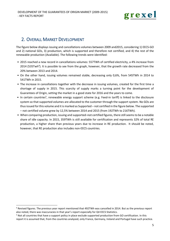

## <span id="page-4-0"></span>2. OVERALL MARKET DEVELOPMENT

The figure below displays issuing and cancellations volumes between 2009 and2015, considering 1) EECS-GO and 2) national GOs, 3) production, which is supported and therefore not certified, and 4) the rest of the renewable production (Available). The following trends were identified:

- 2015 reached a new record in cancellations volumes: 557TWh of certified electricity, a 4% increase from 2014 (535Twh<sup>4</sup>). It is possible to see from the graph, however, that the growth rate decreased from the 20% between 2013 and 2014.
- On the other hand, issuing volumes remained stable, decreasing only 0,6%, from 545TWh in 2014 to 541TWh in 2015.
- The increase in cancellations together with the decrease in issuing volumes, created for the first time a shortage of supply in 2015. This scarcity of supply marks a turning point for the development of Guarantees of Origin, setting the market in a good state for 2016 and the years to come.
- In certain countries<sup>5</sup>, renewable energy support scheme (e.g. Feed-in tariff) is linked to the disclosure system so that supported volumes are allocated to the customer through the support system. No GOs are thus issued for this volume and it is marked as Supported – not certified in the figure below. The supported – not certified volume grew by 12,5% between 2014 and 2015 (from 192TWh to 216TWh).
- When comparing production, issuing and supported–not certified figures, there still seemsto be a notable share of idle capacity. In 2015, 359TWh is still available for certification and represents 32% of total RE production, a higher share than previous years due to increase in RE production. It should be noted, however, that RE production also includes non-EECS countries.

1

<sup>4</sup> Revised figures. The previous year report mentioned that 492TWh was cancelled in 2014. But as the previous report also noted, there was inaccuracies in that year's report especially for Q4 EECS Statistics.

<sup>5</sup> Not all countries that have a support policy in place exclude supported production from GO certification. In this report it is assumed that, from the countries analyzed, only France, Germany, Ireland and Portugal have such practice.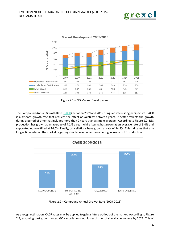



Figure 2.1 – GO Market Development

The Compound Annual Growth Rate [\(CAGR\)](http://en.wikipedia.org/wiki/Compound_annual_growth_rate) between 2009 and 2015 brings an interesting perspective. CAGR is a smooth growth rate that reduces the effect of volatility between years. It better reflects the growth during a period of time that includes more than 2 years than a simple average. According to Figure 2.2, RES production has grown at an average of 7,2% a year, while issuing has grown at an average rate of 9,4% and supported non-certified at 14,5%. Finally, cancellations have grown at rate of 14,8%. This indicates that at a longer time interval the market is getting shorter even when considering increase in RE production.



Figure 2.2 – Compound Annual Growth Rate (2009-2015)

As a rough estimation, CAGR rates may be applied to gain a future outlook of the market. According to Figure 2.3, assuming past growth rates, GO cancellations would reach the total available volume by 2021. This of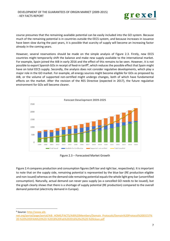

course presumes that the remaining available potential can be easily included into the GO system. Because much of the remaining potential is in countries outside the EECS system, and because increases in issuance have been slow during the past years, it is possible that scarcity of supply will become an increasing factor already in the coming years.

However, several reservations should be made on the simple analysis of Figure 2.3. Firstly, new EECS countries might temporarily shift the balance and make new supply available to the international market. For example, Spain joined the AIB in early 2016 and the effect of this remains to be seen. However, it is not possible to export Spanish GOs in receipt of feed-in tariff<sup>6</sup>, which reduces the possible effect that Spain might have on total EECS supply. Secondly, the analysis does not consider regulative developments, which play a major role in the GO market. For example, all energy sources might become eligible for GOs as proposed by AIB, or the volume of supported not-certified might undergo changes, both of which have fundamental effects on the market. After the revision of the RES Directive (expected in 2017), the future regulative environment for GOs will become clearer.



Figure 2.3 – Forecasted Market Growth

Figure 2.4 compares production and consumption figures (left bar and right bar, respectively). It is important to note that on the supply side, remaining potential is represented by the blue bar (RE production eligible and non-issued) whereas on the demand side remaining potential equals the whole light grey bar (uncertified consumption). Naturally, actual demand can never pass supply (as a cancelled GO needs to be issued), but the graph clearly shows that there is a shortage of supply potential (RE production) compared to the overall demand potential (electricity demand in Europe).

<sup>6</sup> Source: <u>http://www.aib-</u>

**.** 

[net.org/portal/page/portal/AIB\\_HOME/FACTS/AIB%20Members/Domain\\_Protocols/Domain%20Protocol%20EECS7%](http://www.aib-net.org/portal/page/portal/AIB_HOME/FACTS/AIB%20Members/Domain_Protocols/Domain%20Protocol%20EECS7%20-%20%20SPAIN%20%20-%2018%20Feb%202016%20v2%20-%20clean.pdf) [20-%20%20SPAIN%20%20-%2018%20Feb%202016%20v2%20-%20clean.pdf](http://www.aib-net.org/portal/page/portal/AIB_HOME/FACTS/AIB%20Members/Domain_Protocols/Domain%20Protocol%20EECS7%20-%20%20SPAIN%20%20-%2018%20Feb%202016%20v2%20-%20clean.pdf)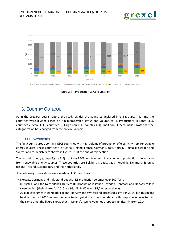



Figure 2.4 – Production vs Consumption

## <span id="page-7-0"></span>3. COUNTRY OUTLOOK

<span id="page-7-1"></span>As in the previous year's report, the study divides the countries analysed into 4 groups. This time the countries were divided based on AIB membership status and volume of RE Production: 1) Large EECS countries 2) Small EECS countries, 3) Large non-EECS countries, 4) Small non-EECS countries. Note that the categorization has changed from the previous report.

## 3.1 EECS COUNTRIES

The first country group contains EECS countries with high volume of production of electricity from renewable energy sources. These countries are Austria, Finland, France, Germany, Italy, Norway, Portugal, Sweden and Switzerland for which data shown in Figure 3.1 at the end of this section.

The second country group (Figure 3.2), contains EECS countries with low volume of production of electricity from renewable energy sources. These countries are Belgium, Croatia, Czech Republic, Denmark, Estonia, Iceland, Ireland, Luxembourg and the Netherlands.

The following observations were made on EECS countries:

- Norway, Germany and Italy stand out with RE production volumes over 100 TWh.
- In Austria, and the Netherlands 100% of RE production is issued. Sweden, Denmark and Norway follow close behind (their shares for 2015 are 98,1%, 94,07% and 91,2% respectively).
- Available volumes in Denmark, Finland, Norway and Switzerland increased slightly in 2015, but this might be due to not all 2015 generation being issued yet at the time when data for this report was collected. At the same time, the figure shows that in Iceland's issuing volumes dropped significantly from 2014.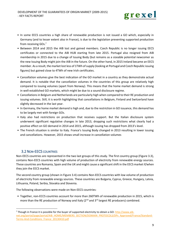

- In some EECS countries a high share of renewable production is not issued a GO which, especially in Germany (and to lesser extent also in France), is due to the legislation preventing supported production from receiving GOs.<sup>7</sup>
- Between 2014 and 2015 the AIB lost and gained members. Czech Republic is no longer issuing EECS certificates or connected to the AIB HUB starting from late 2015. Portugal also resigned from AIB membership in 2015 due to a change of Issuing Body (but remains as a sizeable potential newcomer as the new Issuing Body might join the AIB in the future. On the other hand, in 2015 Ireland became an EECS member. As a result, the market lost less of 1TWh of supply (looking at Portugal and Czech Republic issuing figures) but gained close to 4TWh of new Irish certificates.
- Cancellation volumes give the best indication of the GO market in a country as they demonstrate actual demand. It is notable that the cancellation volumes in the countries of this group are relatively high compared to issuing volumes (apart from Norway). This means that the home market demand is strong in well-established GO markets, which might be due to a sound disclosure regime.
- Cancellations in Belgium and Netherlands are particularly high when compared to their RE production and issuing volumes. Still, it is worth highlighting that cancellations in Belgium, Finland and Switzerland have slightly decreased in the last year.
- In Germany, the home market demand is high and, due to the restriction in GO issuance, this demand has to be largely met with foreign GOs.
- Italy also had restrictions on production that receives support. But the Italian disclosure system underwent significant regulative changes in late 2013, dropping such restrictions what clearly had a positive effect on GO demand in 2014 and 2015, although issuing has dropped from 2013's level.
- <span id="page-8-0"></span>• The French situation is similar to Italy. France's Issuing Body changed in 2013 resulting in lower issuing and cancellations. However, 2015 shows small increase in cancellation volumes

### **3.2 NON-EECS COUNTRIES**

**.** 

Non-EECS countries are represented in the two last groups of this study. The first country group (Figure 3.3), contains Non-EECS countries with high volume of production of electricity from renewable energy sources. These countries are Romania, Spain and the UK and might cause a significant shift in the EECS market if/when they join the EECS market.

The second country group (shown in Figure 3.4) contains Non-EECS countries with low volume of production of electricity from renewable energy sources. These countries are Bulgaria, Cyprus, Greece, Hungary, Latvia, Lithuania, Poland, Serbia, Slovakia and Slovenia.

The following observations were made on Non-EECS countries:

• Together, non-ECCS countries account for more than 260TWh of renewable production in 2015, which is more than the RE production of Norway and Italy  $(2^{nd}$  and  $3^{rd}$  largest RE producers) combined.

<sup>&</sup>lt;sup>7</sup> Though in France it is possible for the buyer of supported electricity to obtain a GO: [http://www.aib](http://www.aib-net.org/portal/page/portal/AIB_HOME/MEMBERS_SECTION/DOMAIN_PROTOCOLS/DPs_Approved/France/Standard-Terms-And-Conditions_France_20130410.pdf)[net.org/portal/page/portal/AIB\\_HOME/MEMBERS\\_SECTION/DOMAIN\\_PROTOCOLS/DPs\\_Approved/France/Standard-](http://www.aib-net.org/portal/page/portal/AIB_HOME/MEMBERS_SECTION/DOMAIN_PROTOCOLS/DPs_Approved/France/Standard-Terms-And-Conditions_France_20130410.pdf)[Terms-And-Conditions\\_France\\_20130410.pdf](http://www.aib-net.org/portal/page/portal/AIB_HOME/MEMBERS_SECTION/DOMAIN_PROTOCOLS/DPs_Approved/France/Standard-Terms-And-Conditions_France_20130410.pdf)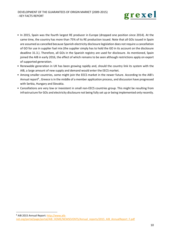

- In 2015, Spain was the fourth largest RE producer in Europe (dropped one position since 2014). At the same time, the country has more than 75% of its RE production issued. Note that all GOs issued in Spain are assumed as cancelled because Spanish electricity disclosure legislation does not require a cancellation of GO for use in supplier fuel mix (the supplier simply has to hold the GO in its account on the disclosure deadline 31.3.). Therefore, all GOs in the Spanish registry are used for disclosure. As mentioned, Spain joined the AIB in early 2016, the effect of which remains to be seen although restrictions apply on export of supported generation.
- Renewable generation in UK has been growing rapidly and, should the country link its system with the AIB, a large amount of new supply and demand would enter the EECS market.
- Among smaller countries, some might join the EECS market in the newer future. According to the AIB's Annual report<sup>8</sup>, Greece is in the middle of a member application process, and discussion have progressed with Serbia, Hungary and Slovakia.
- Cancellations are very low or inexistent in small non-EECS countries group. This might be resulting from infrastructure for GOs and electricity disclosure not being fully set up or being implemented only recently.

1

<sup>8</sup> AIB 2015 Annual Report: [http://www.aib](http://www.aib-net.org/portal/page/portal/AIB_HOME/NEWSEVENTS/Annual_reports/2015_AIB_AnnualReport_F.pdf)net.org/portal/page/portal/AIB\_HOME/NEWSEVENTS/Annual\_reports/2015\_AIB\_AnnualReport\_F.pdf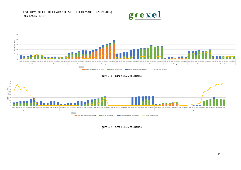DEVELOPMENT OF THE GUARANTEES OF ORIGIN MARKET (2009-2015)

#### - KEY FACTS REPORT



grexel

#### Figure 3.1 – Large EECS countries



Figure 3.2 – Small EECS countries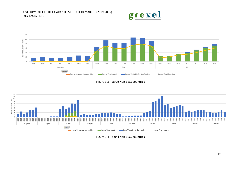







Figure 3.4 – Small Non-EECS countries